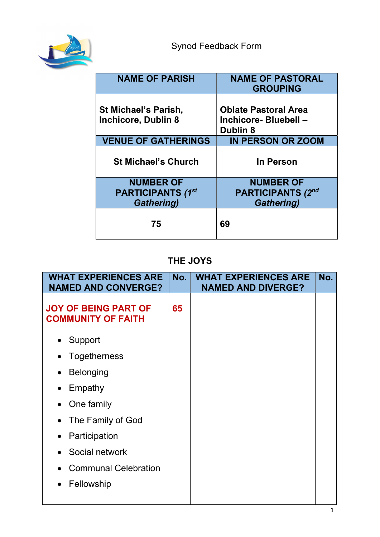

| <b>NAME OF PARISH</b>                                             | <b>NAME OF PASTORAL</b><br><b>GROUPING</b>                            |
|-------------------------------------------------------------------|-----------------------------------------------------------------------|
| St Michael's Parish,<br><b>Inchicore, Dublin 8</b>                | <b>Oblate Pastoral Area</b><br>Inchicore-Bluebell-<br><b>Dublin 8</b> |
| <b>VENUE OF GATHERINGS</b>                                        | <b>IN PERSON OR ZOOM</b>                                              |
| <b>St Michael's Church</b>                                        | In Person                                                             |
| <b>NUMBER OF</b><br><b>PARTICIPANTS (1st</b><br><b>Gathering)</b> | <b>NUMBER OF</b><br><b>PARTICIPANTS (2nd</b><br>Gathering)            |
| 75                                                                | 69                                                                    |

# THE JOYS

| <b>WHAT EXPERIENCES ARE</b><br><b>NAMED AND CONVERGE?</b> | No. | <b>WHAT EXPERIENCES ARE</b><br><b>NAMED AND DIVERGE?</b> | No. |
|-----------------------------------------------------------|-----|----------------------------------------------------------|-----|
| <b>JOY OF BEING PART OF</b><br><b>COMMUNITY OF FAITH</b>  | 65  |                                                          |     |
| Support                                                   |     |                                                          |     |
| <b>Togetherness</b>                                       |     |                                                          |     |
| <b>Belonging</b><br>$\bullet$                             |     |                                                          |     |
| Empathy<br>$\bullet$                                      |     |                                                          |     |
| One family<br>$\bullet$                                   |     |                                                          |     |
| The Family of God                                         |     |                                                          |     |
| Participation<br>$\bullet$                                |     |                                                          |     |
| Social network                                            |     |                                                          |     |
| <b>Communal Celebration</b>                               |     |                                                          |     |
| Fellowship                                                |     |                                                          |     |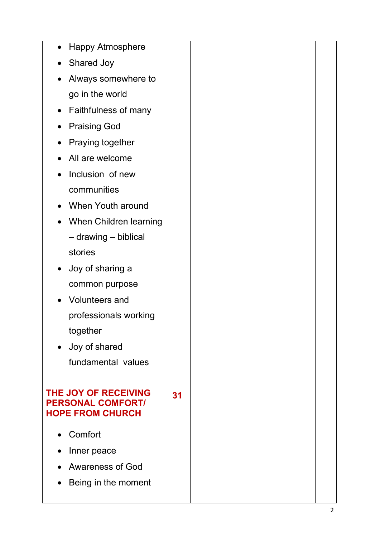| <b>Happy Atmosphere</b><br>$\bullet$             |    |  |
|--------------------------------------------------|----|--|
| <b>Shared Joy</b>                                |    |  |
| Always somewhere to<br>$\bullet$                 |    |  |
| go in the world                                  |    |  |
| Faithfulness of many<br>$\bullet$                |    |  |
| <b>Praising God</b><br>$\bullet$                 |    |  |
| Praying together                                 |    |  |
| All are welcome                                  |    |  |
| Inclusion of new                                 |    |  |
| communities                                      |    |  |
| When Youth around                                |    |  |
| When Children learning<br>$\bullet$              |    |  |
| - drawing - biblical                             |    |  |
| stories                                          |    |  |
| Joy of sharing a<br>$\bullet$                    |    |  |
| common purpose                                   |    |  |
| <b>Volunteers and</b>                            |    |  |
| professionals working                            |    |  |
| together                                         |    |  |
| Joy of shared<br>$\bullet$                       |    |  |
| fundamental values                               |    |  |
|                                                  |    |  |
| THE JOY OF RECEIVING<br><b>PERSONAL COMFORT/</b> | 31 |  |
| <b>HOPE FROM CHURCH</b>                          |    |  |
| Comfort                                          |    |  |
| Inner peace                                      |    |  |
| <b>Awareness of God</b>                          |    |  |
| Being in the moment                              |    |  |
|                                                  |    |  |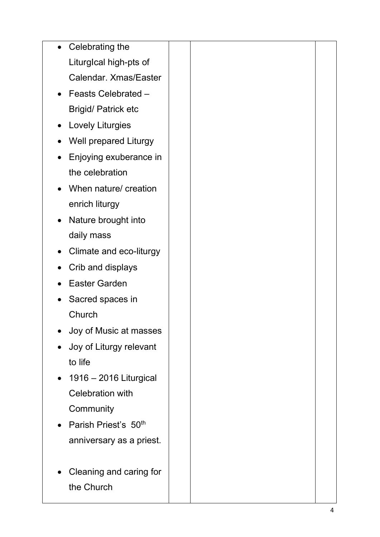| Celebrating the<br>$\bullet$         |  |
|--------------------------------------|--|
| Liturglcal high-pts of               |  |
| Calendar. Xmas/Easter                |  |
| Feasts Celebrated -                  |  |
| <b>Brigid/Patrick etc</b>            |  |
| <b>Lovely Liturgies</b><br>$\bullet$ |  |
| <b>Well prepared Liturgy</b>         |  |
| Enjoying exuberance in               |  |
| the celebration                      |  |
| When nature/ creation                |  |
| enrich liturgy                       |  |
| Nature brought into                  |  |
| daily mass                           |  |
| Climate and eco-liturgy              |  |
| Crib and displays                    |  |
| <b>Easter Garden</b>                 |  |
| Sacred spaces in                     |  |
| Church                               |  |
| Joy of Music at masses               |  |
| Joy of Liturgy relevant              |  |
| to life                              |  |
| 1916 – 2016 Liturgical               |  |
| <b>Celebration with</b>              |  |
| Community                            |  |
| Parish Priest's 50 <sup>th</sup>     |  |
| anniversary as a priest.             |  |
|                                      |  |
| Cleaning and caring for              |  |
| the Church                           |  |
|                                      |  |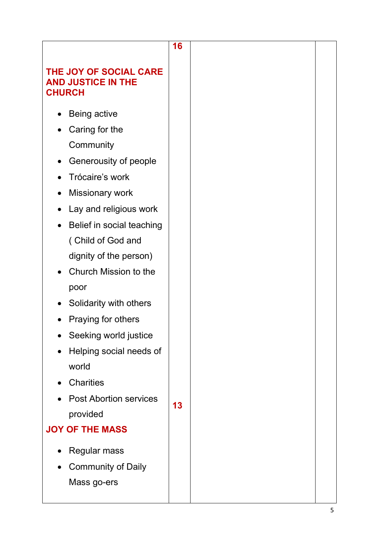|                                                                               | 16 |  |
|-------------------------------------------------------------------------------|----|--|
| THE JOY OF SOCIAL CARE<br><b>AND JUSTICE IN THE</b><br><b>CHURCH</b>          |    |  |
| Being active<br>Caring for the                                                |    |  |
| Community                                                                     |    |  |
| Generousity of people                                                         |    |  |
| Trócaire's work                                                               |    |  |
| <b>Missionary work</b><br>$\bullet$                                           |    |  |
| Lay and religious work<br>$\bullet$<br>Belief in social teaching<br>$\bullet$ |    |  |
| (Child of God and                                                             |    |  |
| dignity of the person)                                                        |    |  |
| Church Mission to the                                                         |    |  |
| poor                                                                          |    |  |
| Solidarity with others                                                        |    |  |
| Praying for others                                                            |    |  |
| Seeking world justice                                                         |    |  |
| Helping social needs of                                                       |    |  |
| world<br><b>Charities</b>                                                     |    |  |
| <b>Post Abortion services</b>                                                 |    |  |
| provided                                                                      | 13 |  |
| <b>JOY OF THE MASS</b>                                                        |    |  |
| <b>Regular mass</b>                                                           |    |  |
| <b>Community of Daily</b>                                                     |    |  |
| Mass go-ers                                                                   |    |  |
|                                                                               |    |  |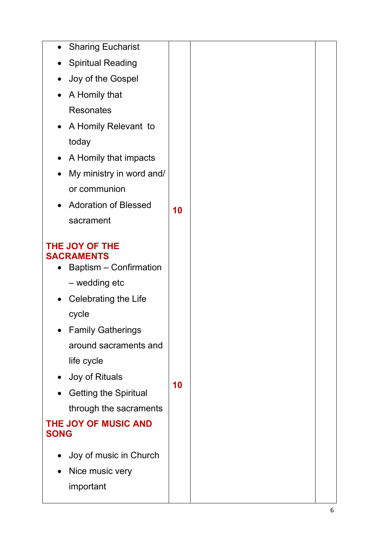| $\bullet$   | <b>Sharing Eucharist</b>                                                       |    |  |
|-------------|--------------------------------------------------------------------------------|----|--|
| $\bullet$   | <b>Spiritual Reading</b>                                                       |    |  |
| $\bullet$   | Joy of the Gospel                                                              |    |  |
| $\bullet$   | A Homily that                                                                  |    |  |
|             | <b>Resonates</b>                                                               |    |  |
| $\bullet$   | A Homily Relevant to                                                           |    |  |
|             | today                                                                          |    |  |
|             | A Homily that impacts                                                          |    |  |
|             | My ministry in word and/                                                       |    |  |
|             | or communion                                                                   |    |  |
|             | <b>Adoration of Blessed</b>                                                    | 10 |  |
|             | sacrament                                                                      |    |  |
| $\bullet$   | THE JOY OF THE<br><b>SACRAMENTS</b><br>Baptism - Confirmation<br>- wedding etc |    |  |
|             | <b>Celebrating the Life</b>                                                    |    |  |
|             | cycle                                                                          |    |  |
|             | <b>Family Gatherings</b>                                                       |    |  |
|             | around sacraments and                                                          |    |  |
|             | life cycle                                                                     |    |  |
| $\bullet$   | Joy of Rituals                                                                 | 10 |  |
| $\bullet$   | <b>Getting the Spiritual</b>                                                   |    |  |
|             | through the sacraments<br>THE JOY OF MUSIC AND                                 |    |  |
| <b>SONG</b> |                                                                                |    |  |
| $\bullet$   | Joy of music in Church                                                         |    |  |
|             | Nice music very                                                                |    |  |
|             | important                                                                      |    |  |
|             |                                                                                |    |  |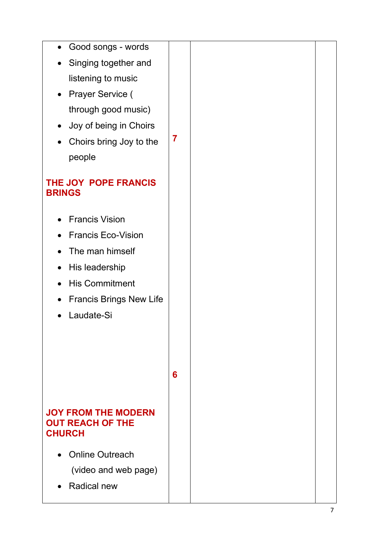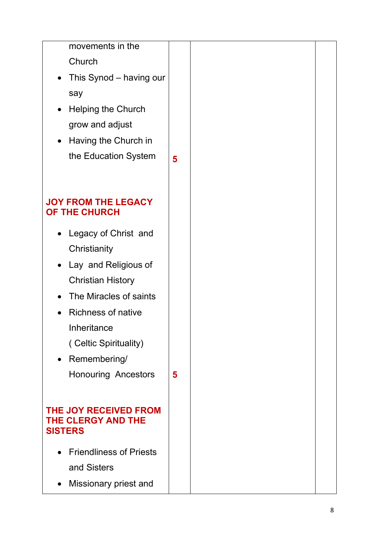| movements in the                                              |   |  |
|---------------------------------------------------------------|---|--|
| Church                                                        |   |  |
| This Synod - having our<br>$\bullet$                          |   |  |
| say                                                           |   |  |
| <b>Helping the Church</b><br>$\bullet$                        |   |  |
| grow and adjust                                               |   |  |
| Having the Church in<br>$\bullet$                             |   |  |
| the Education System                                          | 5 |  |
|                                                               |   |  |
|                                                               |   |  |
| <b>JOY FROM THE LEGACY</b><br>OF THE CHURCH                   |   |  |
|                                                               |   |  |
| Legacy of Christ and                                          |   |  |
| Christianity                                                  |   |  |
| Lay and Religious of                                          |   |  |
| <b>Christian History</b>                                      |   |  |
| The Miracles of saints                                        |   |  |
| <b>Richness of native</b>                                     |   |  |
| Inheritance                                                   |   |  |
| (Celtic Spirituality)                                         |   |  |
| Remembering/<br>$\bullet$                                     |   |  |
| <b>Honouring Ancestors</b>                                    | 5 |  |
|                                                               |   |  |
| THE JOY RECEIVED FROM<br>THE CLERGY AND THE<br><b>SISTERS</b> |   |  |
| <b>Friendliness of Priests</b>                                |   |  |
| and Sisters                                                   |   |  |
| Missionary priest and                                         |   |  |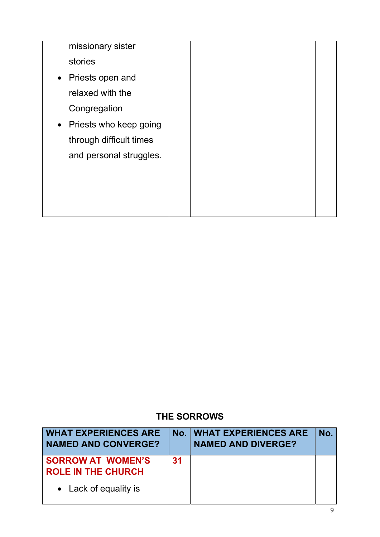| missionary sister             |  |
|-------------------------------|--|
| stories                       |  |
| Priests open and<br>$\bullet$ |  |
| relaxed with the              |  |
| Congregation                  |  |
| • Priests who keep going      |  |
| through difficult times       |  |
| and personal struggles.       |  |
|                               |  |
|                               |  |
|                               |  |
|                               |  |

### THE SORROWS

| <b>WHAT EXPERIENCES ARE</b><br><b>NAMED AND CONVERGE?</b> |    | <b>No. WHAT EXPERIENCES ARE</b><br><b>NAMED AND DIVERGE?</b> | No. |
|-----------------------------------------------------------|----|--------------------------------------------------------------|-----|
| <b>SORROW AT WOMEN'S</b><br><b>ROLE IN THE CHURCH</b>     | 31 |                                                              |     |
| • Lack of equality is                                     |    |                                                              |     |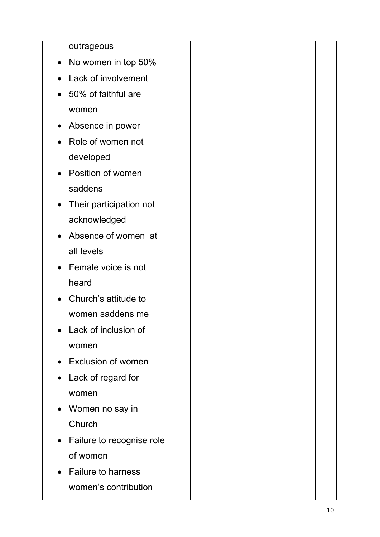|           | outrageous                  |  |  |
|-----------|-----------------------------|--|--|
| $\bullet$ | No women in top 50%         |  |  |
|           | Lack of involvement         |  |  |
| $\bullet$ | 50% of faithful are         |  |  |
|           | women                       |  |  |
| $\bullet$ | Absence in power            |  |  |
|           | Role of women not           |  |  |
|           | developed                   |  |  |
| $\bullet$ | Position of women           |  |  |
|           | saddens                     |  |  |
| $\bullet$ | Their participation not     |  |  |
|           | acknowledged                |  |  |
|           | Absence of women at         |  |  |
|           | all levels                  |  |  |
|           | Female voice is not         |  |  |
|           | heard                       |  |  |
|           | Church's attitude to        |  |  |
|           | women saddens me            |  |  |
|           | Lack of inclusion of        |  |  |
|           | women                       |  |  |
| $\bullet$ | <b>Exclusion of women</b>   |  |  |
| $\bullet$ | Lack of regard for          |  |  |
|           | women                       |  |  |
| $\bullet$ | Women no say in             |  |  |
|           | Church                      |  |  |
|           | • Failure to recognise role |  |  |
|           | of women                    |  |  |
| $\bullet$ | <b>Failure to harness</b>   |  |  |
|           | women's contribution        |  |  |
|           |                             |  |  |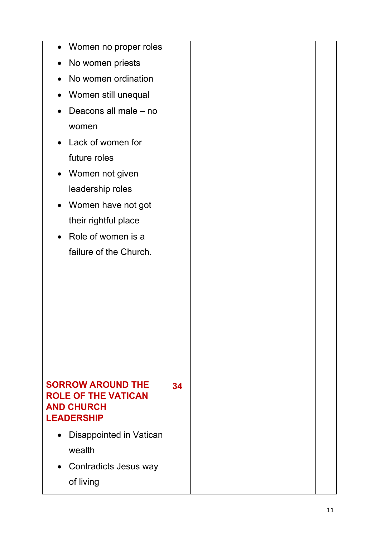| Women no proper roles                  |    |  |
|----------------------------------------|----|--|
| No women priests                       |    |  |
| No women ordination                    |    |  |
| Women still unequal                    |    |  |
| Deacons all male - no                  |    |  |
| women                                  |    |  |
| Lack of women for                      |    |  |
| future roles                           |    |  |
| Women not given<br>$\bullet$           |    |  |
| leadership roles                       |    |  |
| Women have not got<br>$\bullet$        |    |  |
| their rightful place                   |    |  |
| Role of women is a                     |    |  |
| failure of the Church.                 |    |  |
|                                        |    |  |
|                                        |    |  |
|                                        |    |  |
|                                        |    |  |
|                                        |    |  |
|                                        |    |  |
|                                        |    |  |
| <b>SORROW AROUND THE</b>               | 34 |  |
| <b>ROLE OF THE VATICAN</b>             |    |  |
| <b>AND CHURCH</b><br><b>LEADERSHIP</b> |    |  |
| <b>Disappointed in Vatican</b>         |    |  |
| wealth                                 |    |  |
| Contradicts Jesus way<br>$\bullet$     |    |  |
| of living                              |    |  |
|                                        |    |  |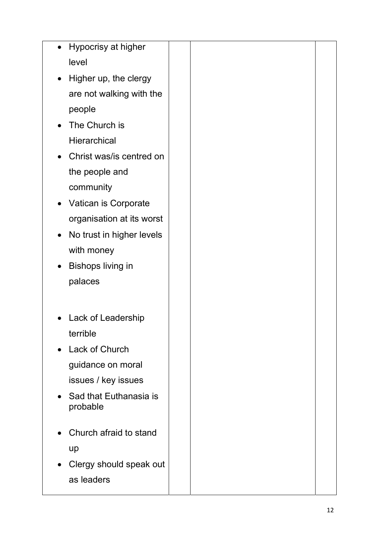| Hypocrisy at higher                             |  |
|-------------------------------------------------|--|
| level                                           |  |
| Higher up, the clergy<br>$\bullet$              |  |
| are not walking with the                        |  |
| people                                          |  |
| The Church is<br>$\bullet$                      |  |
| Hierarchical                                    |  |
| Christ was/is centred on                        |  |
| the people and                                  |  |
| community                                       |  |
| Vatican is Corporate<br>$\bullet$               |  |
| organisation at its worst                       |  |
| No trust in higher levels                       |  |
| with money                                      |  |
| <b>Bishops living in</b><br>$\bullet$           |  |
| palaces                                         |  |
|                                                 |  |
| Lack of Leadership                              |  |
| terrible                                        |  |
| Lack of Church                                  |  |
| guidance on moral                               |  |
| issues / key issues                             |  |
| Sad that Euthanasia is<br>$\bullet$<br>probable |  |
| Church afraid to stand                          |  |
| up                                              |  |
| Clergy should speak out                         |  |
| as leaders                                      |  |
|                                                 |  |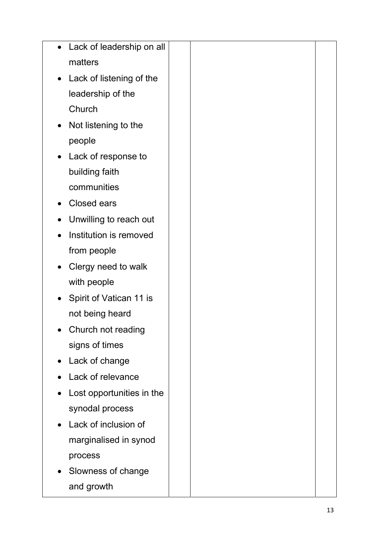| Lack of leadership on all             |
|---------------------------------------|
| matters                               |
| Lack of listening of the<br>$\bullet$ |
| leadership of the                     |
| Church                                |
| Not listening to the<br>$\bullet$     |
| people                                |
| Lack of response to<br>$\bullet$      |
| building faith                        |
| communities                           |
| <b>Closed ears</b>                    |
| Unwilling to reach out                |
| Institution is removed                |
| from people                           |
| Clergy need to walk<br>$\bullet$      |
| with people                           |
| Spirit of Vatican 11 is<br>$\bullet$  |
| not being heard                       |
| Church not reading                    |
| signs of times                        |
| Lack of change<br>$\bullet$           |
| Lack of relevance                     |
| Lost opportunities in the             |
| synodal process                       |
| Lack of inclusion of<br>$\bullet$     |
| marginalised in synod                 |
| process                               |
| Slowness of change                    |
| and growth                            |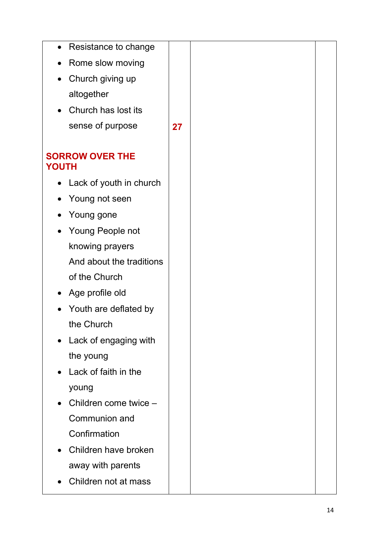| Resistance to change<br>$\bullet$    |    |  |
|--------------------------------------|----|--|
| Rome slow moving<br>$\bullet$        |    |  |
| Church giving up<br>$\bullet$        |    |  |
| altogether                           |    |  |
| Church has lost its<br>$\bullet$     |    |  |
| sense of purpose                     | 27 |  |
| <b>SORROW OVER THE</b><br>YOUTH      |    |  |
| Lack of youth in church<br>$\bullet$ |    |  |
| Young not seen<br>$\bullet$          |    |  |
| Young gone<br>$\bullet$              |    |  |
| Young People not                     |    |  |
| knowing prayers                      |    |  |
| And about the traditions             |    |  |
| of the Church                        |    |  |
| Age profile old                      |    |  |
| Youth are deflated by                |    |  |
| the Church                           |    |  |
| Lack of engaging with<br>$\bullet$   |    |  |
| the young                            |    |  |
| Lack of faith in the<br>$\bullet$    |    |  |
| young                                |    |  |
| Children come twice -                |    |  |
| Communion and                        |    |  |
| Confirmation                         |    |  |
| Children have broken<br>$\bullet$    |    |  |
| away with parents                    |    |  |
| Children not at mass<br>$\bullet$    |    |  |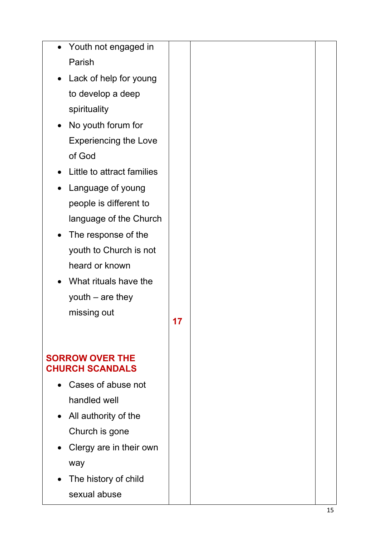| Youth not engaged in                             |    |  |
|--------------------------------------------------|----|--|
| Parish                                           |    |  |
| Lack of help for young<br>$\bullet$              |    |  |
| to develop a deep                                |    |  |
| spirituality                                     |    |  |
| No youth forum for<br>$\bullet$                  |    |  |
| <b>Experiencing the Love</b>                     |    |  |
| of God                                           |    |  |
| Little to attract families                       |    |  |
| Language of young<br>$\bullet$                   |    |  |
| people is different to                           |    |  |
| language of the Church                           |    |  |
| The response of the<br>$\bullet$                 |    |  |
| youth to Church is not                           |    |  |
| heard or known                                   |    |  |
| What rituals have the                            |    |  |
| youth $-$ are they                               |    |  |
| missing out                                      | 17 |  |
|                                                  |    |  |
|                                                  |    |  |
| <b>SORROW OVER THE</b><br><b>CHURCH SCANDALS</b> |    |  |
| Cases of abuse not                               |    |  |
| handled well                                     |    |  |
| • All authority of the                           |    |  |
| Church is gone                                   |    |  |
| Clergy are in their own<br>$\bullet$             |    |  |
| way                                              |    |  |
| The history of child                             |    |  |
| sexual abuse                                     |    |  |
|                                                  |    |  |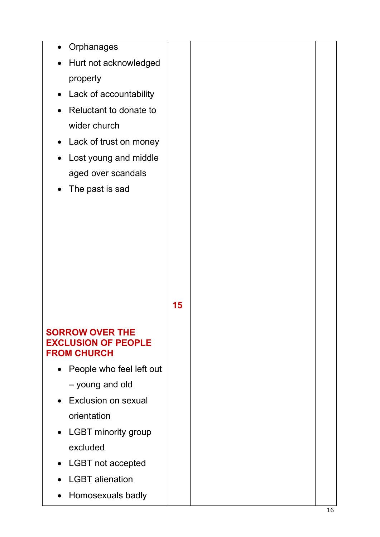| Orphanages                                       |    |  |
|--------------------------------------------------|----|--|
| Hurt not acknowledged<br>$\bullet$               |    |  |
| properly                                         |    |  |
| Lack of accountability<br>$\bullet$              |    |  |
| Reluctant to donate to                           |    |  |
| wider church                                     |    |  |
| Lack of trust on money<br>$\bullet$              |    |  |
| Lost young and middle                            |    |  |
| aged over scandals                               |    |  |
| The past is sad                                  |    |  |
|                                                  |    |  |
|                                                  |    |  |
|                                                  |    |  |
|                                                  |    |  |
|                                                  |    |  |
|                                                  |    |  |
|                                                  | 15 |  |
|                                                  |    |  |
| <b>SORROW OVER THE</b>                           |    |  |
| <b>EXCLUSION OF PEOPLE</b><br><b>FROM CHURCH</b> |    |  |
| People who feel left out<br>$\bullet$            |    |  |
| - young and old                                  |    |  |
| <b>Exclusion on sexual</b><br>$\bullet$          |    |  |
| orientation                                      |    |  |
| • LGBT minority group                            |    |  |
| excluded                                         |    |  |
| • LGBT not accepted                              |    |  |
| <b>LGBT</b> alienation                           |    |  |
| Homosexuals badly<br>$\bullet$                   |    |  |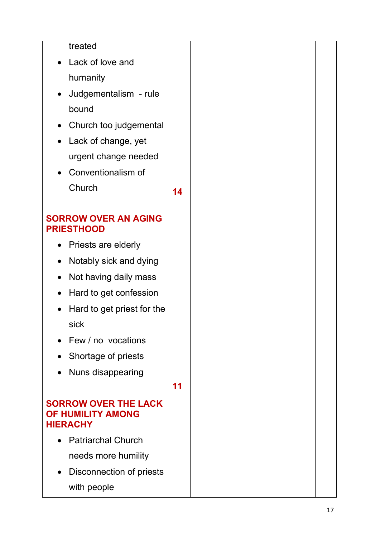|           | treated                                                             |    |  |
|-----------|---------------------------------------------------------------------|----|--|
|           | Lack of love and                                                    |    |  |
|           | humanity                                                            |    |  |
| $\bullet$ | Judgementalism - rule                                               |    |  |
|           | bound                                                               |    |  |
|           | Church too judgemental                                              |    |  |
| $\bullet$ | Lack of change, yet                                                 |    |  |
|           | urgent change needed                                                |    |  |
|           | Conventionalism of                                                  |    |  |
|           | Church                                                              | 14 |  |
|           |                                                                     |    |  |
|           | <b>SORROW OVER AN AGING</b><br><b>PRIESTHOOD</b>                    |    |  |
|           | Priests are elderly                                                 |    |  |
|           | Notably sick and dying                                              |    |  |
|           | Not having daily mass                                               |    |  |
|           | Hard to get confession                                              |    |  |
|           | Hard to get priest for the                                          |    |  |
|           | sick                                                                |    |  |
|           | Few / no vocations                                                  |    |  |
|           | Shortage of priests                                                 |    |  |
|           | Nuns disappearing                                                   |    |  |
|           |                                                                     | 11 |  |
|           | <b>SORROW OVER THE LACK</b><br>OF HUMILITY AMONG<br><b>HIERACHY</b> |    |  |
|           | <b>Patriarchal Church</b>                                           |    |  |
|           | needs more humility                                                 |    |  |
|           | Disconnection of priests                                            |    |  |
|           | with people                                                         |    |  |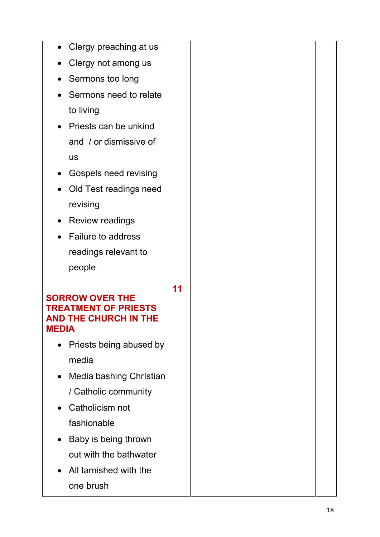| $\bullet$ | Clergy preaching at us                                                                |    |  |
|-----------|---------------------------------------------------------------------------------------|----|--|
| $\bullet$ | Clergy not among us                                                                   |    |  |
|           | Sermons too long                                                                      |    |  |
| $\bullet$ | Sermons need to relate                                                                |    |  |
|           | to living                                                                             |    |  |
| $\bullet$ | Priests can be unkind                                                                 |    |  |
|           | and / or dismissive of                                                                |    |  |
|           | <b>US</b>                                                                             |    |  |
| $\bullet$ | Gospels need revising                                                                 |    |  |
|           | Old Test readings need                                                                |    |  |
|           | revising                                                                              |    |  |
|           | <b>Review readings</b>                                                                |    |  |
| $\bullet$ | <b>Failure to address</b>                                                             |    |  |
|           | readings relevant to                                                                  |    |  |
|           | people                                                                                |    |  |
| MEDIA     | <b>SORROW OVER THE</b><br><b>TREATMENT OF PRIESTS</b><br><b>AND THE CHURCH IN THE</b> | 11 |  |
|           | Priests being abused by                                                               |    |  |
|           | media                                                                                 |    |  |
| $\bullet$ | Media bashing Christian                                                               |    |  |
|           | / Catholic community                                                                  |    |  |
|           | Catholicism not                                                                       |    |  |
|           | fashionable                                                                           |    |  |
| $\bullet$ | Baby is being thrown                                                                  |    |  |
|           | out with the bathwater                                                                |    |  |
|           | All tarnished with the                                                                |    |  |
|           | one brush                                                                             |    |  |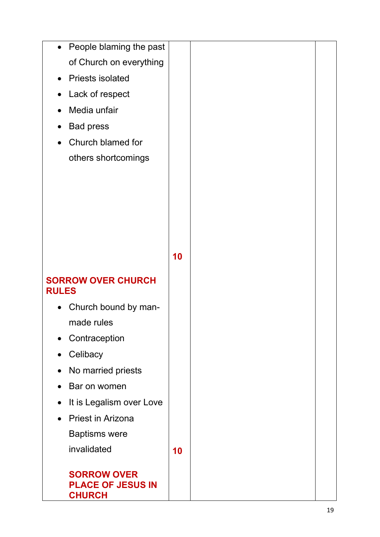| People blaming the past<br>$\bullet$                            |    |  |
|-----------------------------------------------------------------|----|--|
| of Church on everything                                         |    |  |
| <b>Priests isolated</b><br>$\bullet$                            |    |  |
| Lack of respect                                                 |    |  |
| Media unfair                                                    |    |  |
| <b>Bad press</b>                                                |    |  |
| Church blamed for                                               |    |  |
| others shortcomings                                             |    |  |
|                                                                 |    |  |
|                                                                 |    |  |
|                                                                 |    |  |
|                                                                 |    |  |
|                                                                 |    |  |
|                                                                 | 10 |  |
|                                                                 |    |  |
| <b>SORROW OVER CHURCH</b><br><b>RULES</b>                       |    |  |
| Church bound by man-                                            |    |  |
| made rules                                                      |    |  |
| Contraception                                                   |    |  |
| Celibacy<br>$\bullet$                                           |    |  |
| No married priests<br>$\bullet$                                 |    |  |
| Bar on women                                                    |    |  |
| It is Legalism over Love<br>$\bullet$                           |    |  |
| Priest in Arizona<br>$\bullet$                                  |    |  |
| <b>Baptisms were</b>                                            |    |  |
| invalidated                                                     | 10 |  |
|                                                                 |    |  |
| <b>SORROW OVER</b><br><b>PLACE OF JESUS IN</b><br><b>CHURCH</b> |    |  |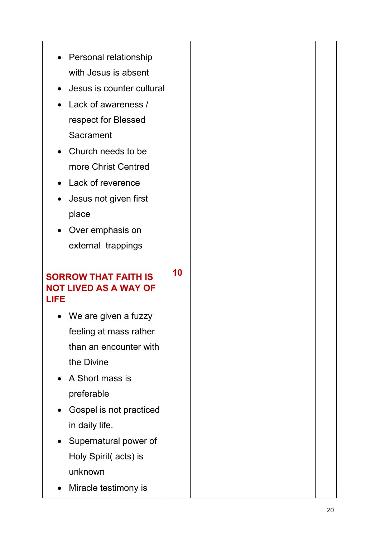| $\bullet$   | Personal relationship                                       |    |
|-------------|-------------------------------------------------------------|----|
|             | with Jesus is absent                                        |    |
| $\bullet$   | Jesus is counter cultural                                   |    |
|             | Lack of awareness /                                         |    |
|             | respect for Blessed                                         |    |
|             | Sacrament                                                   |    |
| $\bullet$   | Church needs to be                                          |    |
|             | more Christ Centred                                         |    |
|             | • Lack of reverence                                         |    |
| $\bullet$   | Jesus not given first                                       |    |
|             | place                                                       |    |
|             | • Over emphasis on                                          |    |
|             | external trappings                                          |    |
|             |                                                             |    |
| <b>LIFE</b> | <b>SORROW THAT FAITH IS</b><br><b>NOT LIVED AS A WAY OF</b> | 10 |
|             | We are given a fuzzy                                        |    |
|             | feeling at mass rather                                      |    |
|             | than an encounter with                                      |    |
|             | the Divine                                                  |    |
| $\bullet$   | A Short mass is                                             |    |
|             | preferable                                                  |    |
| $\bullet$   | Gospel is not practiced                                     |    |
|             | in daily life.                                              |    |
| $\bullet$   | Supernatural power of                                       |    |
|             | Holy Spirit(acts) is                                        |    |
|             | unknown                                                     |    |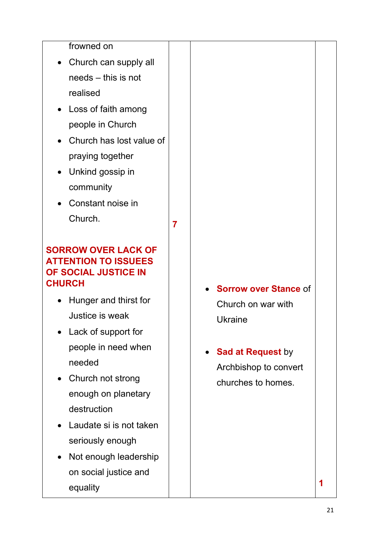| frowned on                                                                                                                                                                                                                                                                                                                                                                       |                                                                                                                                            |   |
|----------------------------------------------------------------------------------------------------------------------------------------------------------------------------------------------------------------------------------------------------------------------------------------------------------------------------------------------------------------------------------|--------------------------------------------------------------------------------------------------------------------------------------------|---|
| Church can supply all<br>$\bullet$                                                                                                                                                                                                                                                                                                                                               |                                                                                                                                            |   |
| needs - this is not                                                                                                                                                                                                                                                                                                                                                              |                                                                                                                                            |   |
| realised                                                                                                                                                                                                                                                                                                                                                                         |                                                                                                                                            |   |
| • Loss of faith among                                                                                                                                                                                                                                                                                                                                                            |                                                                                                                                            |   |
| people in Church                                                                                                                                                                                                                                                                                                                                                                 |                                                                                                                                            |   |
| • Church has lost value of                                                                                                                                                                                                                                                                                                                                                       |                                                                                                                                            |   |
| praying together                                                                                                                                                                                                                                                                                                                                                                 |                                                                                                                                            |   |
| • Unkind gossip in                                                                                                                                                                                                                                                                                                                                                               |                                                                                                                                            |   |
| community                                                                                                                                                                                                                                                                                                                                                                        |                                                                                                                                            |   |
| Constant noise in                                                                                                                                                                                                                                                                                                                                                                |                                                                                                                                            |   |
| Church.                                                                                                                                                                                                                                                                                                                                                                          | $\overline{7}$                                                                                                                             |   |
|                                                                                                                                                                                                                                                                                                                                                                                  |                                                                                                                                            |   |
| <b>SORROW OVER LACK OF</b><br><b>ATTENTION TO ISSUEES</b><br>OF SOCIAL JUSTICE IN<br><b>CHURCH</b><br>Hunger and thirst for<br>Justice is weak<br>Lack of support for<br>people in need when<br>needed<br>Church not strong<br>$\bullet$<br>enough on planetary<br>destruction<br>Laudate si is not taken<br>$\bullet$<br>seriously enough<br>Not enough leadership<br>$\bullet$ | <b>Sorrow over Stance of</b><br>Church on war with<br><b>Ukraine</b><br>• Sad at Request by<br>Archbishop to convert<br>churches to homes. |   |
| on social justice and                                                                                                                                                                                                                                                                                                                                                            |                                                                                                                                            |   |
| equality                                                                                                                                                                                                                                                                                                                                                                         |                                                                                                                                            | 1 |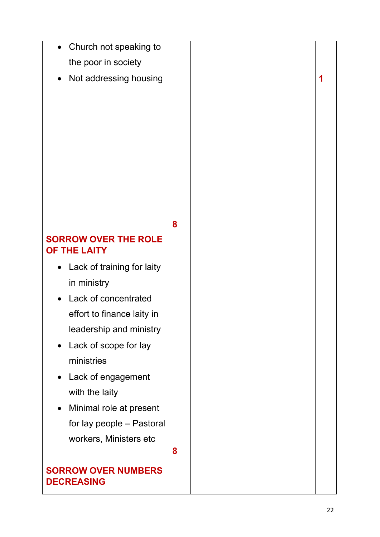| Church not speaking to                          |   |
|-------------------------------------------------|---|
| the poor in society                             |   |
| Not addressing housing                          |   |
|                                                 |   |
|                                                 |   |
|                                                 |   |
|                                                 |   |
|                                                 |   |
|                                                 |   |
|                                                 |   |
|                                                 |   |
|                                                 | 8 |
| <b>SORROW OVER THE ROLE</b>                     |   |
| OF THE LAITY                                    |   |
| Lack of training for laity<br>$\bullet$         |   |
| in ministry                                     |   |
| Lack of concentrated                            |   |
| effort to finance laity in                      |   |
| leadership and ministry                         |   |
| • Lack of scope for lay                         |   |
| ministries                                      |   |
| • Lack of engagement                            |   |
| with the laity                                  |   |
| Minimal role at present<br>$\bullet$            |   |
| for lay people - Pastoral                       |   |
| workers, Ministers etc                          |   |
|                                                 | 8 |
| <b>SORROW OVER NUMBERS</b><br><b>DECREASING</b> |   |
|                                                 |   |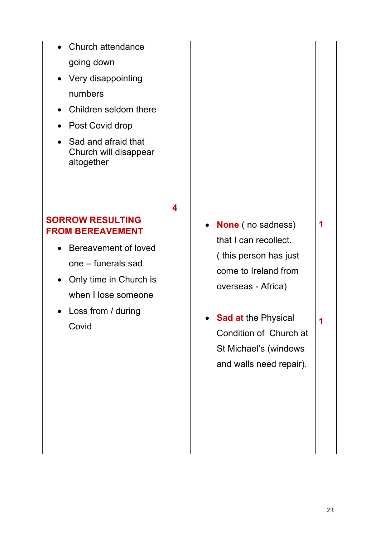| Church attendance<br>going down<br>Very disappointing<br>$\bullet$<br>numbers<br>Children seldom there<br>Post Covid drop<br>Sad and afraid that<br>Church will disappear<br>altogether | 4 |                                                                                                                                       |  |
|-----------------------------------------------------------------------------------------------------------------------------------------------------------------------------------------|---|---------------------------------------------------------------------------------------------------------------------------------------|--|
| <b>SORROW RESULTING</b><br><b>FROM BEREAVEMENT</b><br><b>Bereavement of loved</b><br>one – funerals sad<br>Only time in Church is<br>$\bullet$<br>when I lose someone                   |   | <b>None</b> (no sadness)<br>$\bullet$<br>that I can recollect.<br>(this person has just<br>come to Ireland from<br>overseas - Africa) |  |
| Loss from / during<br>Covid                                                                                                                                                             |   | • Sad at the Physical<br>Condition of Church at<br>St Michael's (windows<br>and walls need repair).                                   |  |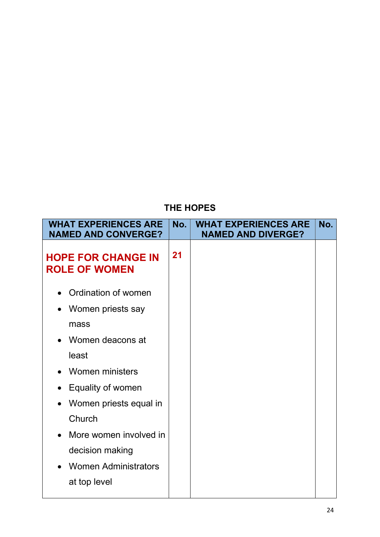## THE HOPES

| <b>WHAT EXPERIENCES ARE</b><br><b>NAMED AND CONVERGE?</b> | No. | <b>WHAT EXPERIENCES ARE</b><br><b>NAMED AND DIVERGE?</b> | No. |
|-----------------------------------------------------------|-----|----------------------------------------------------------|-----|
| <b>HOPE FOR CHANGE IN</b><br><b>ROLE OF WOMEN</b>         | 21  |                                                          |     |
| Ordination of women                                       |     |                                                          |     |
| Women priests say                                         |     |                                                          |     |
| mass                                                      |     |                                                          |     |
| • Women deacons at                                        |     |                                                          |     |
| least                                                     |     |                                                          |     |
| <b>Women ministers</b>                                    |     |                                                          |     |
| Equality of women<br>$\bullet$                            |     |                                                          |     |
| Women priests equal in                                    |     |                                                          |     |
| Church                                                    |     |                                                          |     |
| More women involved in<br>$\bullet$                       |     |                                                          |     |
| decision making                                           |     |                                                          |     |
| <b>Women Administrators</b>                               |     |                                                          |     |
| at top level                                              |     |                                                          |     |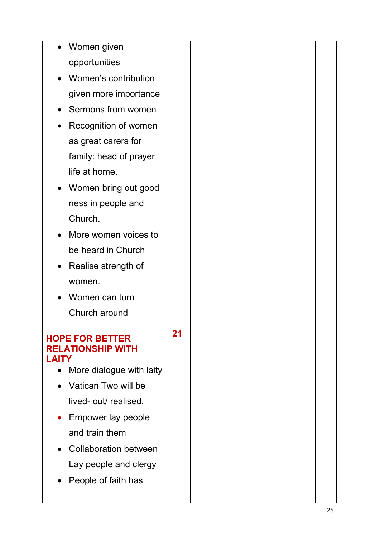| $\bullet$                              | Women given                  |    |  |
|----------------------------------------|------------------------------|----|--|
|                                        | opportunities                |    |  |
|                                        | Women's contribution         |    |  |
|                                        | given more importance        |    |  |
|                                        | Sermons from women           |    |  |
| $\bullet$                              | Recognition of women         |    |  |
|                                        | as great carers for          |    |  |
|                                        | family: head of prayer       |    |  |
|                                        | life at home.                |    |  |
| $\bullet$                              | Women bring out good         |    |  |
|                                        | ness in people and           |    |  |
| Church.                                |                              |    |  |
|                                        | More women voices to         |    |  |
|                                        | be heard in Church           |    |  |
|                                        | Realise strength of          |    |  |
| women.                                 |                              |    |  |
|                                        | Women can turn               |    |  |
|                                        | Church around                |    |  |
| <b>HOPE FOR BETTER</b><br><b>LAITY</b> | <b>RELATIONSHIP WITH</b>     | 21 |  |
| $\bullet$                              | More dialogue with laity     |    |  |
|                                        | Vatican Two will be          |    |  |
|                                        | lived- out/ realised.        |    |  |
|                                        | Empower lay people           |    |  |
|                                        | and train them               |    |  |
|                                        | <b>Collaboration between</b> |    |  |
|                                        | Lay people and clergy        |    |  |
|                                        | People of faith has          |    |  |
|                                        |                              |    |  |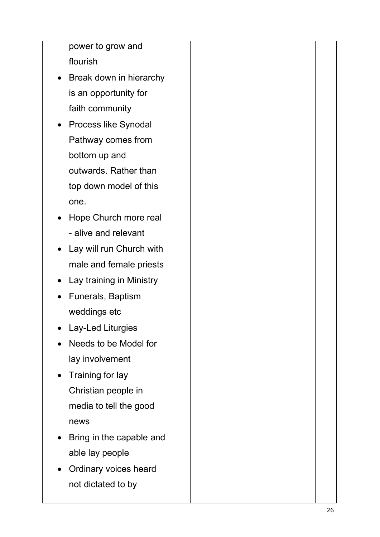| power to grow and                        |  |
|------------------------------------------|--|
| flourish                                 |  |
| Break down in hierarchy<br>$\bullet$     |  |
| is an opportunity for                    |  |
| faith community                          |  |
| <b>Process like Synodal</b><br>$\bullet$ |  |
| Pathway comes from                       |  |
| bottom up and                            |  |
| outwards. Rather than                    |  |
| top down model of this                   |  |
| one.                                     |  |
| Hope Church more real                    |  |
| - alive and relevant                     |  |
| Lay will run Church with                 |  |
| male and female priests                  |  |
| Lay training in Ministry                 |  |
| Funerals, Baptism                        |  |
| weddings etc                             |  |
| Lay-Led Liturgies                        |  |
| Needs to be Model for                    |  |
| lay involvement                          |  |
| Training for lay<br>$\bullet$            |  |
| Christian people in                      |  |
| media to tell the good                   |  |
| news                                     |  |
| Bring in the capable and                 |  |
| able lay people                          |  |
| Ordinary voices heard<br>$\bullet$       |  |
| not dictated to by                       |  |
|                                          |  |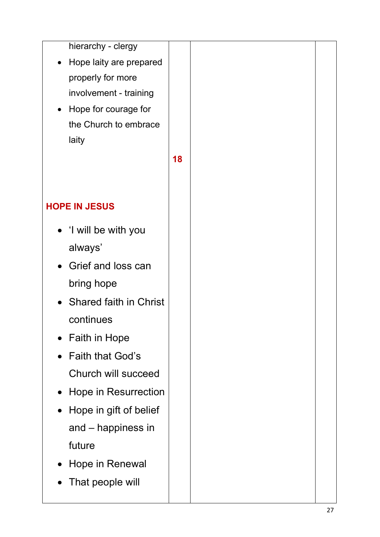| hierarchy - clergy                         |    |  |
|--------------------------------------------|----|--|
| Hope laity are prepared<br>$\bullet$       |    |  |
| properly for more                          |    |  |
| involvement - training                     |    |  |
| Hope for courage for<br>$\bullet$          |    |  |
| the Church to embrace                      |    |  |
| laity                                      |    |  |
|                                            | 18 |  |
|                                            |    |  |
|                                            |    |  |
| <b>HOPE IN JESUS</b>                       |    |  |
| • I will be with you                       |    |  |
| always'                                    |    |  |
| Grief and loss can                         |    |  |
| bring hope                                 |    |  |
| <b>Shared faith in Christ</b><br>$\bullet$ |    |  |
| continues                                  |    |  |
| • Faith in Hope                            |    |  |
| <b>Faith that God's</b>                    |    |  |
| Church will succeed                        |    |  |
| • Hope in Resurrection                     |    |  |
| Hope in gift of belief                     |    |  |
| and – happiness in                         |    |  |
| future                                     |    |  |
| Hope in Renewal                            |    |  |
| That people will                           |    |  |
|                                            |    |  |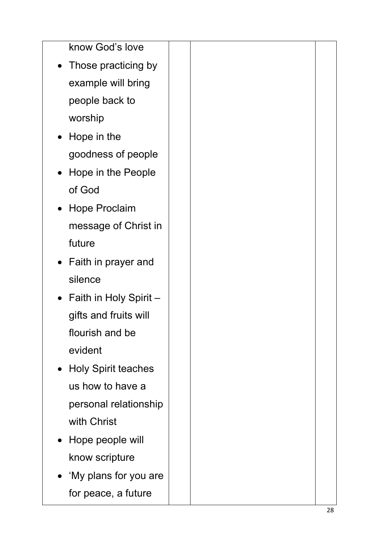| know God's love                     |  |
|-------------------------------------|--|
| Those practicing by<br>$\bullet$    |  |
| example will bring                  |  |
| people back to                      |  |
| worship                             |  |
| Hope in the<br>$\bullet$            |  |
| goodness of people                  |  |
| Hope in the People<br>$\bullet$     |  |
| of God                              |  |
| • Hope Proclaim                     |  |
| message of Christ in                |  |
| future                              |  |
| • Faith in prayer and               |  |
| silence                             |  |
| Faith in Holy Spirit -<br>$\bullet$ |  |
| gifts and fruits will               |  |
| flourish and be                     |  |
| evident                             |  |
| • Holy Spirit teaches               |  |
| us how to have a                    |  |
| personal relationship               |  |
| with Christ                         |  |
| Hope people will                    |  |
| know scripture                      |  |
| $\bullet$ 'My plans for you are     |  |
| for peace, a future                 |  |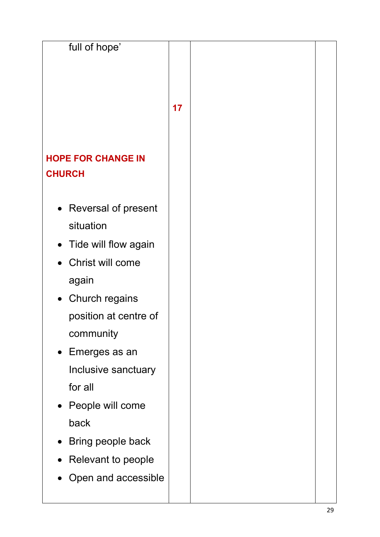| full of hope'                      |    |  |
|------------------------------------|----|--|
|                                    |    |  |
|                                    |    |  |
|                                    | 17 |  |
|                                    |    |  |
|                                    |    |  |
| <b>HOPE FOR CHANGE IN</b>          |    |  |
| <b>CHURCH</b>                      |    |  |
|                                    |    |  |
| • Reversal of present<br>situation |    |  |
|                                    |    |  |
| Tide will flow again<br>$\bullet$  |    |  |
| Christ will come                   |    |  |
| again                              |    |  |
| • Church regains                   |    |  |
| position at centre of              |    |  |
| community                          |    |  |
| • Emerges as an                    |    |  |
| Inclusive sanctuary                |    |  |
| for all                            |    |  |
| • People will come                 |    |  |
| back                               |    |  |
| • Bring people back                |    |  |
| Relevant to people                 |    |  |
| Open and accessible                |    |  |
|                                    |    |  |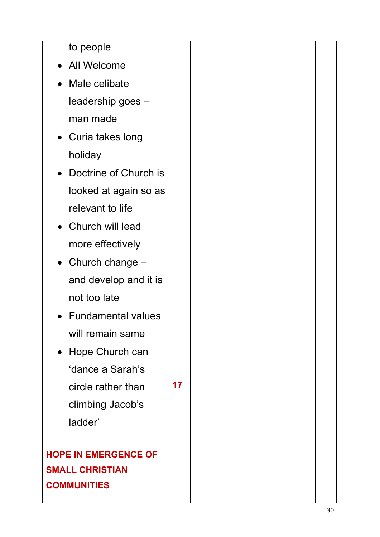| to people                    |    |  |
|------------------------------|----|--|
| <b>All Welcome</b>           |    |  |
| Male celibate                |    |  |
| leadership goes -            |    |  |
| man made                     |    |  |
| • Curia takes long           |    |  |
| holiday                      |    |  |
| Doctrine of Church is        |    |  |
| looked at again so as        |    |  |
| relevant to life             |    |  |
| Church will lead             |    |  |
| more effectively             |    |  |
| • Church change $-$          |    |  |
| and develop and it is        |    |  |
| not too late                 |    |  |
| <b>Fundamental values</b>    |    |  |
| will remain same             |    |  |
| Hope Church can<br>$\bullet$ |    |  |
| 'dance a Sarah's             |    |  |
| circle rather than           | 17 |  |
| climbing Jacob's             |    |  |
| ladder'                      |    |  |
| <b>HOPE IN EMERGENCE OF</b>  |    |  |
| <b>SMALL CHRISTIAN</b>       |    |  |
| <b>COMMUNITIES</b>           |    |  |
|                              |    |  |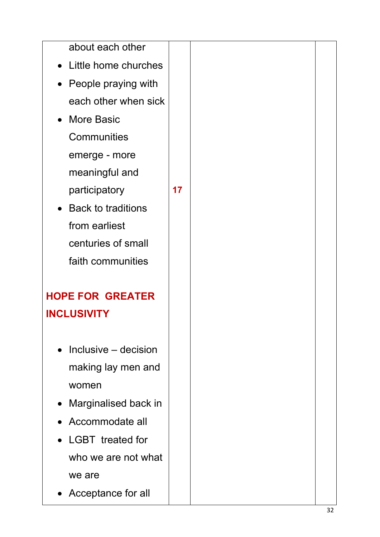| about each other          |    |  |
|---------------------------|----|--|
|                           |    |  |
| • Little home churches    |    |  |
| People praying with       |    |  |
| each other when sick      |    |  |
| <b>More Basic</b>         |    |  |
| Communities               |    |  |
| emerge - more             |    |  |
| meaningful and            |    |  |
| participatory             | 17 |  |
| <b>Back to traditions</b> |    |  |
| from earliest             |    |  |
| centuries of small        |    |  |
| faith communities         |    |  |
|                           |    |  |
| <b>HOPE FOR GREATER</b>   |    |  |
| <b>INCLUSIVITY</b>        |    |  |
|                           |    |  |
| Inclusive – decision      |    |  |
| making lay men and        |    |  |
| women                     |    |  |
| Marginalised back in      |    |  |
| Accommodate all           |    |  |
| <b>LGBT</b> treated for   |    |  |
| who we are not what       |    |  |
| we are                    |    |  |
| Acceptance for all        |    |  |
|                           |    |  |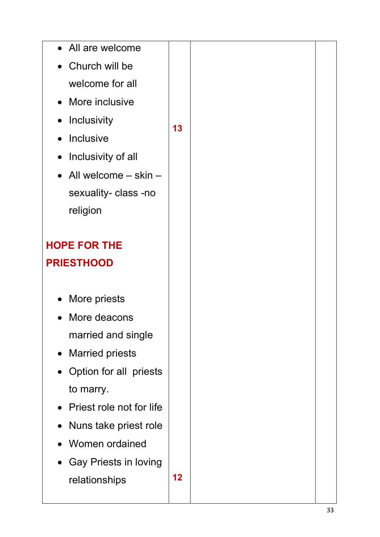| • All are welcome<br>• Church will be<br>welcome for all<br>• More inclusive<br>Inclusivity<br>$\bullet$<br><b>Inclusive</b><br>Inclusivity of all<br>All welcome - skin -<br>sexuality- class -no                                       | 13 |  |
|------------------------------------------------------------------------------------------------------------------------------------------------------------------------------------------------------------------------------------------|----|--|
| religion<br><b>HOPE FOR THE</b><br><b>PRIESTHOOD</b>                                                                                                                                                                                     |    |  |
| More priests<br>More deacons<br>married and single<br>• Married priests<br>Option for all priests<br>to marry.<br>• Priest role not for life<br>Nuns take priest role<br>Women ordained<br><b>Gay Priests in loving</b><br>relationships | 12 |  |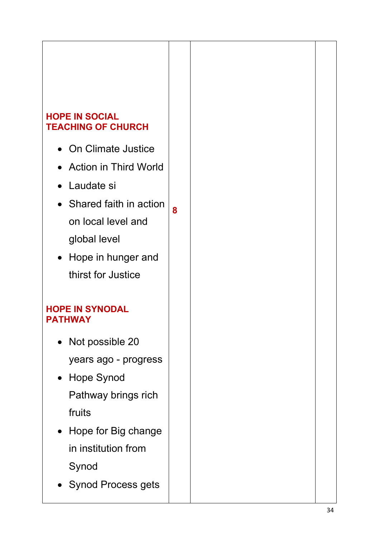### HOPE IN SOCIAL TEACHING OF CHURCH

- On Climate Justice
- Action in Third World
- Laudate si
- Shared faith in action on local level and global level 8
- Hope in hunger and thirst for Justice

#### HOPE IN SYNODAL PATHWAY

- Not possible 20 years ago - progress
- Hope Synod Pathway brings rich fruits
- Hope for Big change in institution from Synod
- Synod Process gets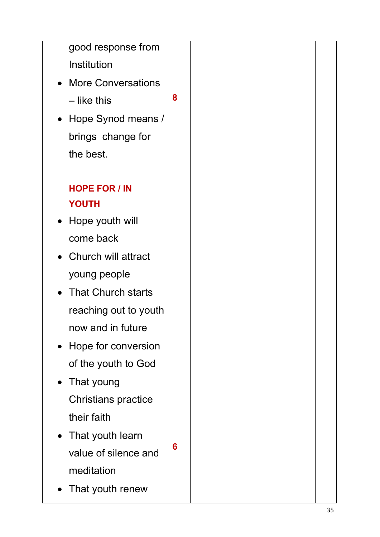| good response from            |   |  |
|-------------------------------|---|--|
| Institution                   |   |  |
| • More Conversations          |   |  |
| $-$ like this                 | 8 |  |
| • Hope Synod means /          |   |  |
| brings change for             |   |  |
| the best.                     |   |  |
|                               |   |  |
| <b>HOPE FOR / IN</b>          |   |  |
| <b>YOUTH</b>                  |   |  |
| • Hope youth will             |   |  |
| come back                     |   |  |
| • Church will attract         |   |  |
| young people                  |   |  |
| • That Church starts          |   |  |
| reaching out to youth         |   |  |
| now and in future             |   |  |
| • Hope for conversion         |   |  |
| of the youth to God           |   |  |
| • That young                  |   |  |
| <b>Christians practice</b>    |   |  |
| their faith                   |   |  |
| • That youth learn            |   |  |
| value of silence and          | 6 |  |
| meditation                    |   |  |
| That youth renew<br>$\bullet$ |   |  |
|                               |   |  |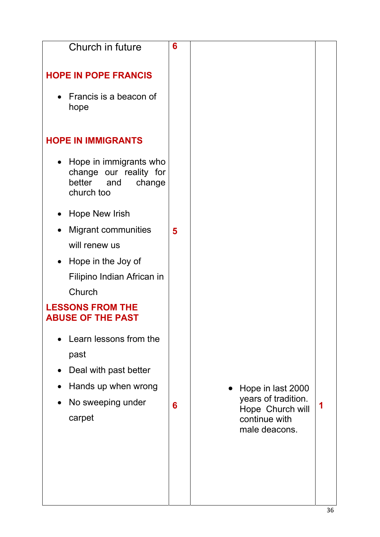| Church in future                                                                                       | 6 |                                         |   |
|--------------------------------------------------------------------------------------------------------|---|-----------------------------------------|---|
| <b>HOPE IN POPE FRANCIS</b>                                                                            |   |                                         |   |
| Francis is a beacon of<br>hope                                                                         |   |                                         |   |
| <b>HOPE IN IMMIGRANTS</b>                                                                              |   |                                         |   |
| Hope in immigrants who<br>$\bullet$<br>change our reality for<br>better<br>change<br>and<br>church too |   |                                         |   |
| <b>Hope New Irish</b><br>$\bullet$                                                                     |   |                                         |   |
| <b>Migrant communities</b><br>$\bullet$                                                                | 5 |                                         |   |
| will renew us                                                                                          |   |                                         |   |
| Hope in the Joy of<br>$\bullet$                                                                        |   |                                         |   |
| Filipino Indian African in                                                                             |   |                                         |   |
| Church                                                                                                 |   |                                         |   |
| <b>LESSONS FROM THE</b><br><b>ABUSE OF THE PAST</b>                                                    |   |                                         |   |
| Learn lessons from the                                                                                 |   |                                         |   |
| past                                                                                                   |   |                                         |   |
| Deal with past better                                                                                  |   |                                         |   |
| Hands up when wrong<br>$\bullet$                                                                       |   | Hope in last 2000                       |   |
| No sweeping under<br>$\bullet$                                                                         | 6 | years of tradition.<br>Hope Church will | 1 |
| carpet                                                                                                 |   | continue with                           |   |
|                                                                                                        |   | male deacons.                           |   |
|                                                                                                        |   |                                         |   |
|                                                                                                        |   |                                         |   |
|                                                                                                        |   |                                         |   |
|                                                                                                        |   |                                         |   |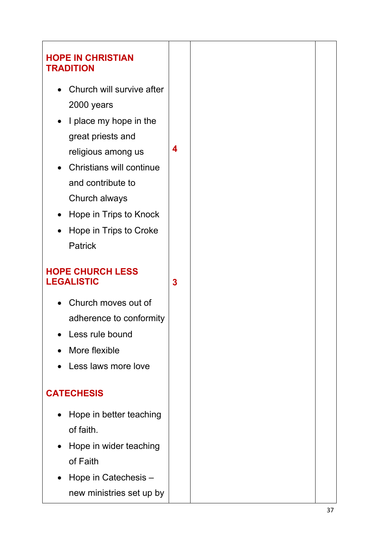| <b>HOPE IN CHRISTIAN</b><br><b>TRADITION</b>          |   |
|-------------------------------------------------------|---|
| Church will survive after                             |   |
| 2000 years                                            |   |
| • I place my hope in the                              |   |
| great priests and                                     |   |
| religious among us                                    | 4 |
| <b>Christians will continue</b>                       |   |
| and contribute to                                     |   |
| Church always                                         |   |
| Hope in Trips to Knock                                |   |
| Hope in Trips to Croke<br>$\bullet$<br><b>Patrick</b> |   |
|                                                       |   |
| <b>HOPE CHURCH LESS</b><br><b>LEGALISTIC</b>          | 3 |
| Church moves out of<br>$\bullet$                      |   |
| adherence to conformity                               |   |
| Less rule bound                                       |   |
| More flexible                                         |   |
| Less laws more love                                   |   |
| <b>CATECHESIS</b>                                     |   |
| Hope in better teaching<br>$\bullet$                  |   |
| of faith.                                             |   |
| Hope in wider teaching                                |   |
| of Faith                                              |   |
| Hope in Catechesis -                                  |   |
| new ministries set up by                              |   |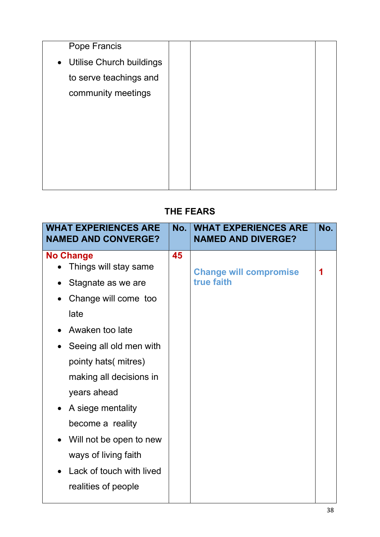| Pope Francis               |  |  |
|----------------------------|--|--|
| • Utilise Church buildings |  |  |
| to serve teachings and     |  |  |
| community meetings         |  |  |
|                            |  |  |
|                            |  |  |
|                            |  |  |
|                            |  |  |
|                            |  |  |
|                            |  |  |

## THE FEARS

| <b>WHAT EXPERIENCES ARE</b><br><b>NAMED AND CONVERGE?</b> | No. | <b>WHAT EXPERIENCES ARE</b><br><b>NAMED AND DIVERGE?</b> | No. |
|-----------------------------------------------------------|-----|----------------------------------------------------------|-----|
| <b>No Change</b><br>Things will stay same                 | 45  | <b>Change will compromise</b>                            |     |
| Stagnate as we are                                        |     | true faith                                               |     |
| Change will come too<br>$\bullet$                         |     |                                                          |     |
| late                                                      |     |                                                          |     |
| Awaken too late<br>$\bullet$                              |     |                                                          |     |
| Seeing all old men with                                   |     |                                                          |     |
| pointy hats( mitres)                                      |     |                                                          |     |
| making all decisions in                                   |     |                                                          |     |
| years ahead                                               |     |                                                          |     |
| A siege mentality<br>$\bullet$                            |     |                                                          |     |
| become a reality                                          |     |                                                          |     |
| Will not be open to new<br>$\bullet$                      |     |                                                          |     |
| ways of living faith                                      |     |                                                          |     |
| Lack of touch with lived<br>$\bullet$                     |     |                                                          |     |
| realities of people                                       |     |                                                          |     |
|                                                           |     |                                                          |     |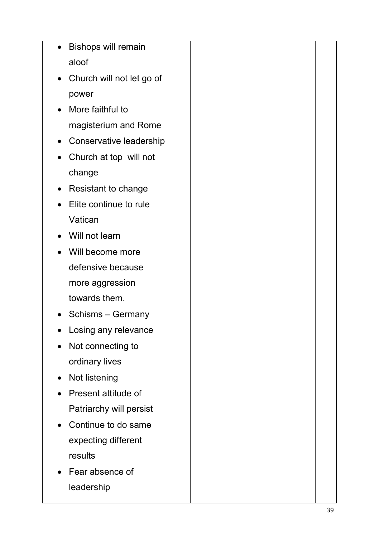|           | <b>Bishops will remain</b> |
|-----------|----------------------------|
|           | aloof                      |
| $\bullet$ | Church will not let go of  |
|           | power                      |
| $\bullet$ | More faithful to           |
|           | magisterium and Rome       |
| $\bullet$ | Conservative leadership    |
|           | Church at top will not     |
|           | change                     |
|           | <b>Resistant to change</b> |
|           | Elite continue to rule     |
|           | Vatican                    |
|           | Will not learn             |
|           | Will become more           |
|           | defensive because          |
|           | more aggression            |
|           | towards them.              |
|           | Schisms - Germany          |
|           | Losing any relevance       |
|           | Not connecting to          |
|           | ordinary lives             |
| $\bullet$ | Not listening              |
|           | Present attitude of        |
|           | Patriarchy will persist    |
| $\bullet$ | Continue to do same        |
|           | expecting different        |
|           | results                    |
|           | Fear absence of            |
|           | leadership                 |
|           |                            |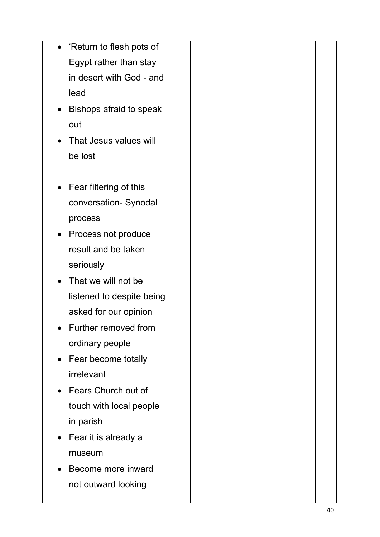| 'Return to flesh pots of<br>$\bullet$ |  |
|---------------------------------------|--|
| Egypt rather than stay                |  |
| in desert with God - and              |  |
| lead                                  |  |
| Bishops afraid to speak               |  |
| out                                   |  |
| That Jesus values will                |  |
| be lost                               |  |
|                                       |  |
| Fear filtering of this                |  |
| conversation- Synodal                 |  |
| process                               |  |
| Process not produce                   |  |
| result and be taken                   |  |
| seriously                             |  |
| That we will not be                   |  |
| listened to despite being             |  |
| asked for our opinion                 |  |
| Further removed from                  |  |
| ordinary people                       |  |
| Fear become totally<br>$\bullet$      |  |
| irrelevant                            |  |
| Fears Church out of<br>$\bullet$      |  |
| touch with local people               |  |
| in parish                             |  |
| Fear it is already a<br>$\bullet$     |  |
| museum                                |  |
| Become more inward                    |  |
| not outward looking                   |  |
|                                       |  |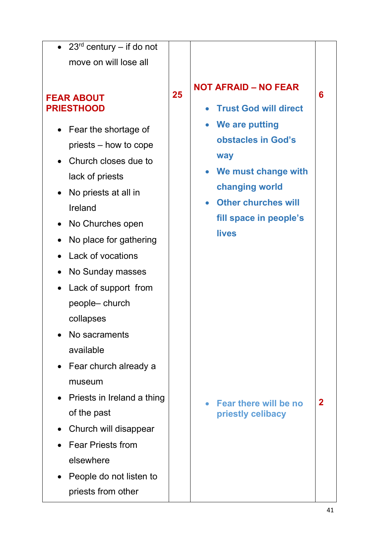| • $23^{rd}$ century – if do not                                                                                                                                                                                                                                                                                                                                                                                                                                                                                                  |    |                                                                                                                                                                                                                           |   |
|----------------------------------------------------------------------------------------------------------------------------------------------------------------------------------------------------------------------------------------------------------------------------------------------------------------------------------------------------------------------------------------------------------------------------------------------------------------------------------------------------------------------------------|----|---------------------------------------------------------------------------------------------------------------------------------------------------------------------------------------------------------------------------|---|
| move on will lose all                                                                                                                                                                                                                                                                                                                                                                                                                                                                                                            |    |                                                                                                                                                                                                                           |   |
| <b>FEAR ABOUT</b><br><b>PRIESTHOOD</b>                                                                                                                                                                                                                                                                                                                                                                                                                                                                                           | 25 | <b>NOT AFRAID - NO FEAR</b><br>• Trust God will direct                                                                                                                                                                    | 6 |
| • Fear the shortage of<br>priests – how to cope<br>• Church closes due to<br>lack of priests<br>No priests at all in<br>$\bullet$<br>Ireland<br>• No Churches open<br>No place for gathering<br>Lack of vocations<br>No Sunday masses<br>$\bullet$<br>Lack of support from<br>$\bullet$<br>people-church<br>collapses<br>No sacraments<br>available<br>Fear church already a<br>museum<br>Priests in Ireland a thing<br>of the past<br>Church will disappear<br><b>Fear Priests from</b><br>elsewhere<br>People do not listen to |    | We are putting<br>obstacles in God's<br>way<br>• We must change with<br>changing world<br><b>Other churches will</b><br>$\bullet$<br>fill space in people's<br><b>lives</b><br>Fear there will be no<br>priestly celibacy | 2 |
| priests from other                                                                                                                                                                                                                                                                                                                                                                                                                                                                                                               |    |                                                                                                                                                                                                                           |   |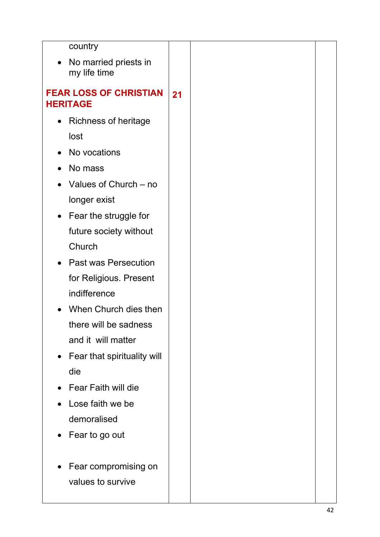| country                                          |    |  |
|--------------------------------------------------|----|--|
| No married priests in<br>my life time            |    |  |
| <b>FEAR LOSS OF CHRISTIAN</b><br><b>HERITAGE</b> | 21 |  |
| <b>Richness of heritage</b><br>$\bullet$         |    |  |
| lost                                             |    |  |
| No vocations                                     |    |  |
| No mass                                          |    |  |
| Values of Church - no                            |    |  |
| longer exist                                     |    |  |
| • Fear the struggle for                          |    |  |
| future society without                           |    |  |
| Church                                           |    |  |
| <b>Past was Persecution</b><br>$\bullet$         |    |  |
| for Religious. Present                           |    |  |
| indifference                                     |    |  |
| When Church dies then                            |    |  |
| there will be sadness                            |    |  |
| and it will matter                               |    |  |
| Fear that spirituality will<br>$\bullet$         |    |  |
| die                                              |    |  |
| • Fear Faith will die                            |    |  |
| Lose faith we be                                 |    |  |
| demoralised                                      |    |  |
| Fear to go out<br>$\bullet$                      |    |  |
| Fear compromising on<br>$\bullet$                |    |  |
| values to survive                                |    |  |
|                                                  |    |  |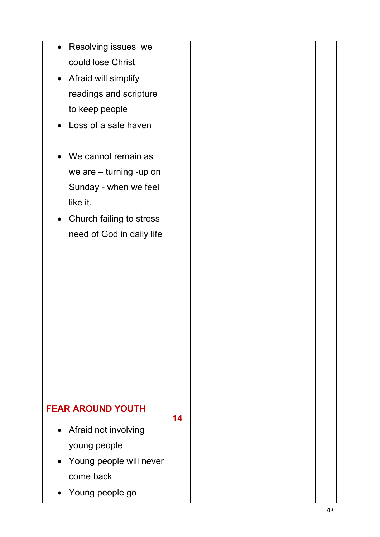| Resolving issues we<br>$\bullet$  |    |    |
|-----------------------------------|----|----|
| could lose Christ                 |    |    |
| Afraid will simplify<br>$\bullet$ |    |    |
| readings and scripture            |    |    |
| to keep people                    |    |    |
| Loss of a safe haven              |    |    |
|                                   |    |    |
| We cannot remain as               |    |    |
| we are $-$ turning -up on         |    |    |
| Sunday - when we feel             |    |    |
| like it.                          |    |    |
| Church failing to stress          |    |    |
| need of God in daily life         |    |    |
|                                   |    |    |
|                                   |    |    |
|                                   |    |    |
|                                   |    |    |
|                                   |    |    |
|                                   |    |    |
|                                   |    |    |
|                                   |    |    |
|                                   |    |    |
|                                   |    |    |
| <b>FEAR AROUND YOUTH</b>          | 14 |    |
| Afraid not involving<br>$\bullet$ |    |    |
| young people                      |    |    |
| Young people will never           |    |    |
| come back                         |    |    |
| Young people go                   |    |    |
|                                   |    | 43 |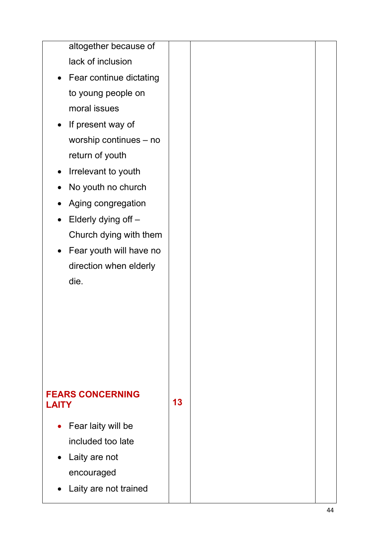| altogether because of              |    |    |
|------------------------------------|----|----|
| lack of inclusion                  |    |    |
| Fear continue dictating            |    |    |
| to young people on                 |    |    |
| moral issues                       |    |    |
| • If present way of                |    |    |
| worship continues - no             |    |    |
| return of youth                    |    |    |
| Irrelevant to youth<br>$\bullet$   |    |    |
| No youth no church<br>$\bullet$    |    |    |
| Aging congregation                 |    |    |
| Elderly dying off -                |    |    |
| Church dying with them             |    |    |
| Fear youth will have no            |    |    |
| direction when elderly             |    |    |
| die.                               |    |    |
|                                    |    |    |
|                                    |    |    |
|                                    |    |    |
|                                    |    |    |
|                                    |    |    |
|                                    |    |    |
| <b>FEARS CONCERNING</b>            | 13 |    |
| <b>LAITY</b>                       |    |    |
| Fear laity will be                 |    |    |
| included too late                  |    |    |
| Laity are not<br>$\bullet$         |    |    |
| encouraged                         |    |    |
| Laity are not trained<br>$\bullet$ |    |    |
|                                    |    | ΛЛ |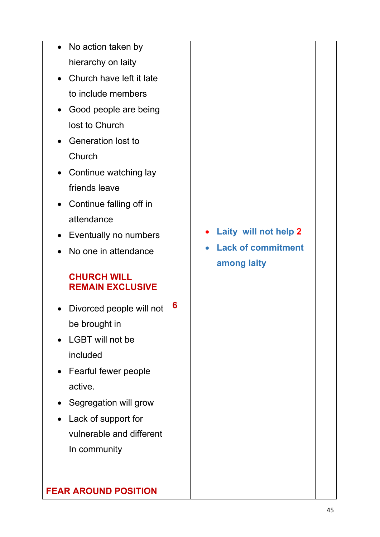| No action taken by<br>$\bullet$               |   |                           |  |
|-----------------------------------------------|---|---------------------------|--|
| hierarchy on laity                            |   |                           |  |
| Church have left it late<br>$\bullet$         |   |                           |  |
| to include members                            |   |                           |  |
| Good people are being<br>$\bullet$            |   |                           |  |
| lost to Church                                |   |                           |  |
| Generation lost to                            |   |                           |  |
| Church                                        |   |                           |  |
| Continue watching lay<br>$\bullet$            |   |                           |  |
| friends leave                                 |   |                           |  |
| Continue falling off in<br>$\bullet$          |   |                           |  |
| attendance                                    |   |                           |  |
| Eventually no numbers                         |   | • Laity will not help 2   |  |
| No one in attendance                          |   | <b>Lack of commitment</b> |  |
|                                               |   | among laity               |  |
| <b>CHURCH WILL</b><br><b>REMAIN EXCLUSIVE</b> |   |                           |  |
| Divorced people will not                      | 6 |                           |  |
| be brought in                                 |   |                           |  |
| <b>LGBT will not be</b>                       |   |                           |  |
| included                                      |   |                           |  |
| Fearful fewer people                          |   |                           |  |
| active.                                       |   |                           |  |
| Segregation will grow                         |   |                           |  |
| Lack of support for                           |   |                           |  |
| vulnerable and different                      |   |                           |  |
| In community                                  |   |                           |  |
|                                               |   |                           |  |
|                                               |   |                           |  |
| <b>FEAR AROUND POSITION</b>                   |   |                           |  |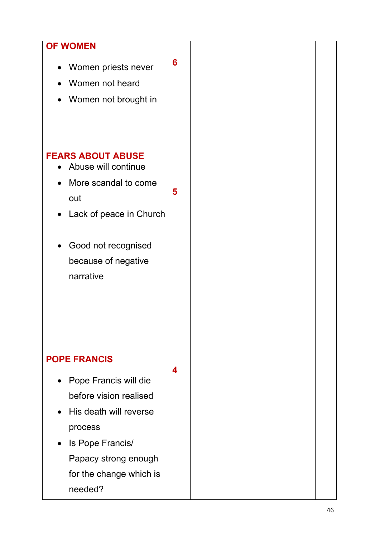| <b>OF WOMEN</b>                                                                                                                                                                                                         |   |  |
|-------------------------------------------------------------------------------------------------------------------------------------------------------------------------------------------------------------------------|---|--|
| • Women priests never<br>Women not heard<br>Women not brought in                                                                                                                                                        | 6 |  |
| <b>FEARS ABOUT ABUSE</b><br>Abuse will continue<br>More scandal to come<br>$\bullet$<br>out<br>Lack of peace in Church<br>$\bullet$<br>Good not recognised<br>$\bullet$<br>because of negative<br>narrative             | 5 |  |
| <b>POPE FRANCIS</b><br>Pope Francis will die<br>before vision realised<br>His death will reverse<br>$\bullet$<br>process<br>Is Pope Francis/<br>$\bullet$<br>Papacy strong enough<br>for the change which is<br>needed? | 4 |  |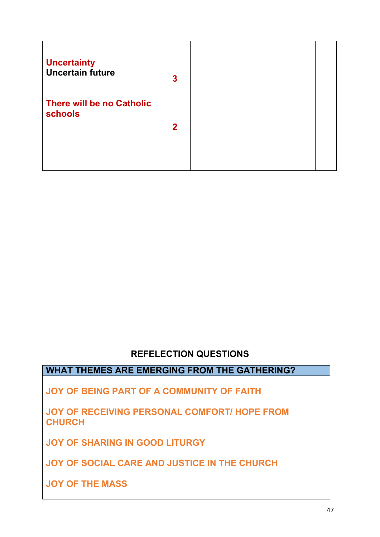| <b>Uncertainty</b><br><b>Uncertain future</b> | $\overline{\mathbf{3}}$ |  |
|-----------------------------------------------|-------------------------|--|
| There will be no Catholic<br><b>schools</b>   | $\overline{2}$          |  |
|                                               |                         |  |

#### REFELECTION QUESTIONS

WHAT THEMES ARE EMERGING FROM THE GATHERING?

JOY OF BEING PART OF A COMMUNITY OF FAITH

JOY OF RECEIVING PERSONAL COMFORT/ HOPE FROM **CHURCH** 

JOY OF SHARING IN GOOD LITURGY

JOY OF SOCIAL CARE AND JUSTICE IN THE CHURCH

JOY OF THE MASS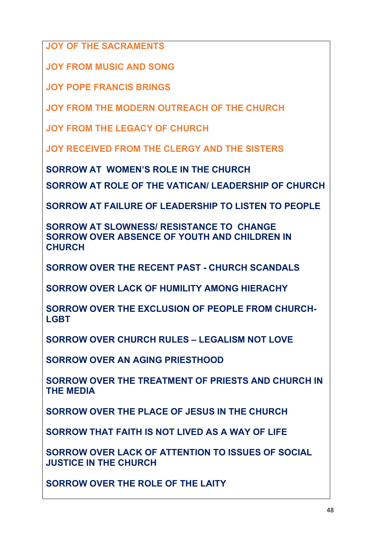JOY OF THE SACRAMENTS

JOY FROM MUSIC AND SONG

JOY POPE FRANCIS BRINGS

JOY FROM THE MODERN OUTREACH OF THE CHURCH

JOY FROM THE LEGACY OF CHURCH

JOY RECEIVED FROM THE CLERGY AND THE SISTERS

SORROW AT WOMEN'S ROLE IN THE CHURCH

SORROW AT ROLE OF THE VATICAN/ LEADERSHIP OF CHURCH

SORROW AT FAILURE OF LEADERSHIP TO LISTEN TO PEOPLE

SORROW AT SLOWNESS/ RESISTANCE TO CHANGE SORROW OVER ABSENCE OF YOUTH AND CHILDREN IN **CHURCH** 

SORROW OVER THE RECENT PAST - CHURCH SCANDALS

SORROW OVER LACK OF HUMILITY AMONG HIERACHY

SORROW OVER THE EXCLUSION OF PEOPLE FROM CHURCH-LGBT

SORROW OVER CHURCH RULES – LEGALISM NOT LOVE

SORROW OVER AN AGING PRIESTHOOD

SORROW OVER THE TREATMENT OF PRIESTS AND CHURCH IN THE MEDIA

SORROW OVER THE PLACE OF JESUS IN THE CHURCH

SORROW THAT FAITH IS NOT LIVED AS A WAY OF LIFE

SORROW OVER LACK OF ATTENTION TO ISSUES OF SOCIAL JUSTICE IN THE CHURCH

SORROW OVER THE ROLE OF THE LAITY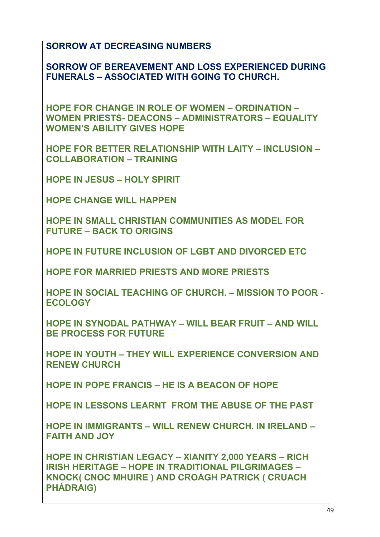SORROW AT DECREASING NUMBERS

SORROW OF BEREAVEMENT AND LOSS EXPERIENCED DURING FUNERALS – ASSOCIATED WITH GOING TO CHURCH.

HOPE FOR CHANGE IN ROLE OF WOMEN – ORDINATION – WOMEN PRIESTS- DEACONS – ADMINISTRATORS – EQUALITY WOMEN'S ABILITY GIVES HOPE

HOPE FOR BETTER RELATIONSHIP WITH LAITY – INCLUSION – COLLABORATION – TRAINING

HOPE IN JESUS – HOLY SPIRIT

HOPE CHANGE WILL HAPPEN

HOPE IN SMALL CHRISTIAN COMMUNITIES AS MODEL FOR FUTURE – BACK TO ORIGINS

HOPE IN FUTURE INCLUSION OF LGBT AND DIVORCED ETC

HOPE FOR MARRIED PRIESTS AND MORE PRIESTS

HOPE IN SOCIAL TEACHING OF CHURCH. – MISSION TO POOR - **ECOLOGY** 

HOPE IN SYNODAL PATHWAY – WILL BEAR FRUIT – AND WILL BE PROCESS FOR FUTURE

HOPE IN YOUTH – THEY WILL EXPERIENCE CONVERSION AND RENEW CHURCH

HOPE IN POPE FRANCIS – HE IS A BEACON OF HOPE

HOPE IN LESSONS LEARNT FROM THE ABUSE OF THE PAST

HOPE IN IMMIGRANTS – WILL RENEW CHURCH. IN IRELAND – FAITH AND JOY

HOPE IN CHRISTIAN LEGACY – XIANITY 2,000 YEARS – RICH IRISH HERITAGE – HOPE IN TRADITIONAL PILGRIMAGES – KNOCK( CNOC MHUIRE ) AND CROAGH PATRICK ( CRUACH PHÁDRAIG)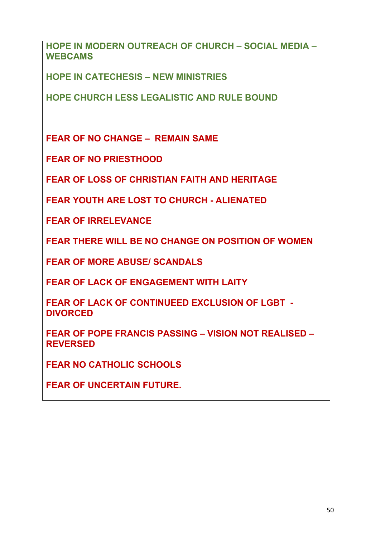HOPE IN MODERN OUTREACH OF CHURCH – SOCIAL MEDIA – WEBCAMS

HOPE IN CATECHESIS – NEW MINISTRIES

HOPE CHURCH LESS LEGALISTIC AND RULE BOUND

FEAR OF NO CHANGE – REMAIN SAME

FEAR OF NO PRIESTHOOD

FEAR OF LOSS OF CHRISTIAN FAITH AND HERITAGE

FEAR YOUTH ARE LOST TO CHURCH - ALIENATED

FEAR OF IRRELEVANCE

FEAR THERE WILL BE NO CHANGE ON POSITION OF WOMEN

FEAR OF MORE ABUSE/ SCANDALS

FEAR OF LACK OF ENGAGEMENT WITH LAITY

FEAR OF LACK OF CONTINUEED EXCLUSION OF LGBT - DIVORCED

FEAR OF POPE FRANCIS PASSING – VISION NOT REALISED – REVERSED

FEAR NO CATHOLIC SCHOOLS

FEAR OF UNCERTAIN FUTURE.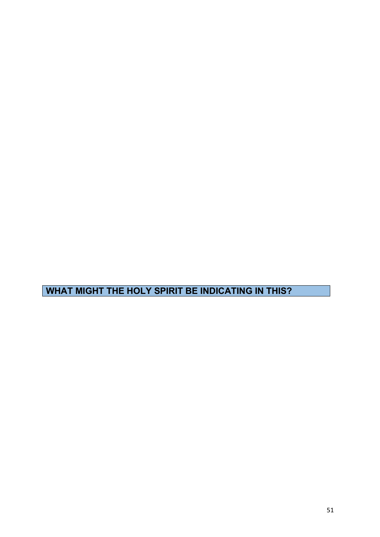WHAT MIGHT THE HOLY SPIRIT BE INDICATING IN THIS?